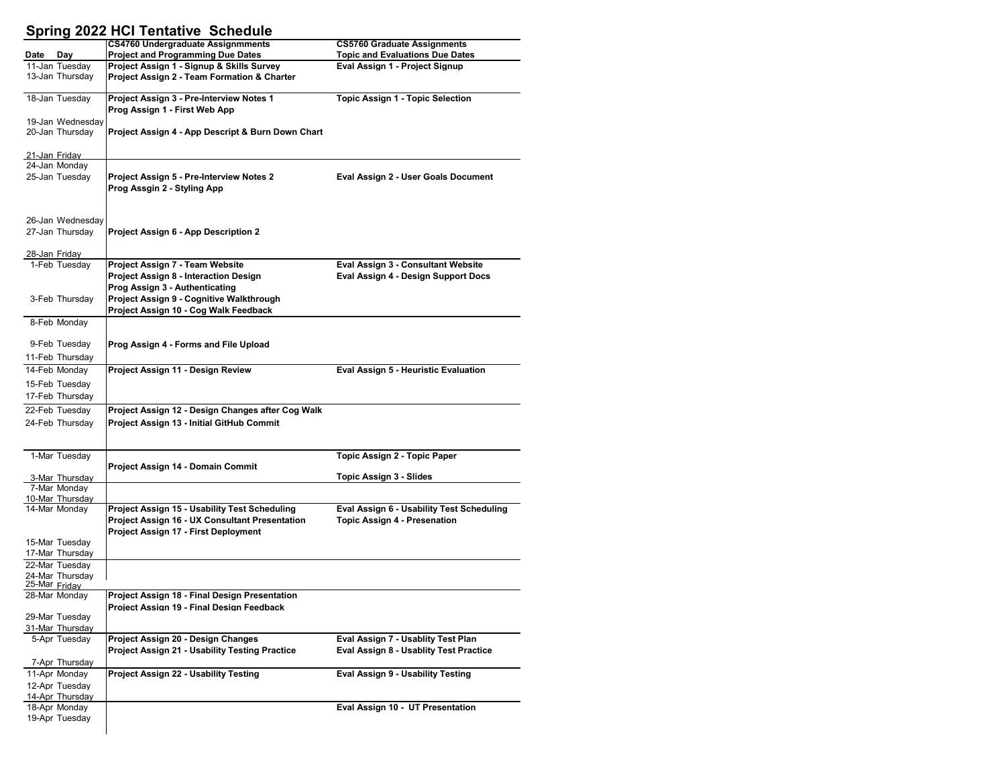## **Spring 2022 HCI Tentative Schedule**

|               |                                | <b>CS4760 Undergraduate Assignmments</b>                                                      | <b>CS5760 Graduate Assignments</b>        |
|---------------|--------------------------------|-----------------------------------------------------------------------------------------------|-------------------------------------------|
| Date          | Day                            | <b>Project and Programming Due Dates</b>                                                      | <b>Topic and Evaluations Due Dates</b>    |
|               | 11-Jan Tuesday                 | Project Assign 1 - Signup & Skills Survey                                                     | Eval Assign 1 - Project Signup            |
|               | 13-Jan Thursday                | Project Assign 2 - Team Formation & Charter                                                   |                                           |
|               |                                |                                                                                               |                                           |
|               | 18-Jan Tuesday                 | Project Assign 3 - Pre-Interview Notes 1                                                      | <b>Topic Assign 1 - Topic Selection</b>   |
|               | 19-Jan Wednesdav               | Prog Assign 1 - First Web App                                                                 |                                           |
|               | 20-Jan Thursday                | Project Assign 4 - App Descript & Burn Down Chart                                             |                                           |
|               |                                |                                                                                               |                                           |
|               | <u>21-Jan Friday</u>           |                                                                                               |                                           |
|               | 24-Jan Monday                  |                                                                                               |                                           |
|               | 25-Jan Tuesday                 | Project Assign 5 - Pre-Interview Notes 2                                                      | Eval Assign 2 - User Goals Document       |
|               |                                | Prog Assgin 2 - Styling App                                                                   |                                           |
|               |                                |                                                                                               |                                           |
|               |                                |                                                                                               |                                           |
|               | 26-Jan Wednesday               |                                                                                               |                                           |
|               | 27-Jan Thursday                | Project Assign 6 - App Description 2                                                          |                                           |
|               |                                |                                                                                               |                                           |
|               | 28-Jan Friday<br>1-Feb Tuesday | Project Assign 7 - Team Website                                                               | Eval Assign 3 - Consultant Website        |
|               |                                | Project Assign 8 - Interaction Design                                                         | Eval Assign 4 - Design Support Docs       |
|               |                                | Prog Assign 3 - Authenticating                                                                |                                           |
|               | 3-Feb Thursday                 | Project Assign 9 - Cognitive Walkthrough                                                      |                                           |
|               |                                | Project Assign 10 - Cog Walk Feedback                                                         |                                           |
|               | 8-Feb Monday                   |                                                                                               |                                           |
|               |                                |                                                                                               |                                           |
|               | 9-Feb Tuesday                  | Prog Assign 4 - Forms and File Upload                                                         |                                           |
|               | 11-Feb Thursday                |                                                                                               |                                           |
|               | 14-Feb Monday                  | Project Assign 11 - Design Review                                                             | Eval Assign 5 - Heuristic Evaluation      |
|               | 15-Feb Tuesday                 |                                                                                               |                                           |
|               | 17-Feb Thursday                |                                                                                               |                                           |
|               | 22-Feb Tuesday                 | Project Assign 12 - Design Changes after Cog Walk                                             |                                           |
|               | 24-Feb Thursday                | Project Assign 13 - Initial GitHub Commit                                                     |                                           |
|               |                                |                                                                                               |                                           |
|               |                                |                                                                                               |                                           |
|               | 1-Mar Tuesday                  |                                                                                               | Topic Assign 2 - Topic Paper              |
|               |                                | Project Assign 14 - Domain Commit                                                             |                                           |
|               | 3-Mar Thursday                 |                                                                                               | Topic Assign 3 - Slides                   |
|               | 7-Mar Mondav                   |                                                                                               |                                           |
|               | 10-Mar Thursday                |                                                                                               |                                           |
|               | 14-Mar Monday                  | Project Assign 15 - Usability Test Scheduling                                                 | Eval Assign 6 - Usability Test Scheduling |
|               |                                | <b>Project Assign 16 - UX Consultant Presentation</b><br>Project Assign 17 - First Deployment | <b>Topic Assign 4 - Presenation</b>       |
|               | 15-Mar Tuesday                 |                                                                                               |                                           |
|               | 17-Mar Thursday                |                                                                                               |                                           |
|               | 22-Mar Tuesday                 |                                                                                               |                                           |
|               | 24-Mar Thursdav                |                                                                                               |                                           |
| 25-Mar Fridav |                                |                                                                                               |                                           |
|               | 28-Mar Monday                  | Project Assign 18 - Final Design Presentation<br>Project Assign 19 - Final Design Feedback    |                                           |
|               | 29-Mar Tuesday                 |                                                                                               |                                           |
|               | 31-Mar Thursday                |                                                                                               |                                           |
|               | 5-Apr Tuesday                  | Project Assign 20 - Design Changes                                                            | Eval Assign 7 - Usablity Test Plan        |
|               |                                | Project Assign 21 - Usability Testing Practice                                                | Eval Assign 8 - Usablity Test Practice    |
|               | 7-Apr Thursday                 |                                                                                               |                                           |
|               | 11-Apr Monday                  | <b>Project Assign 22 - Usability Testing</b>                                                  | Eval Assign 9 - Usability Testing         |
|               | 12-Apr Tuesdav                 |                                                                                               |                                           |
|               | 14-Apr Thursday                |                                                                                               |                                           |
|               | 18-Apr Monday                  |                                                                                               | Eval Assign 10 - UT Presentation          |
|               | 19-Apr Tuesday                 |                                                                                               |                                           |
|               |                                |                                                                                               |                                           |